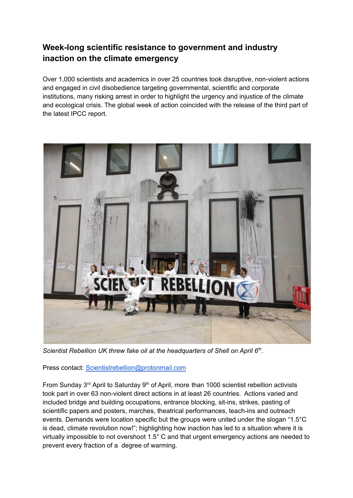# **Week-long scientific resistance to government and industry inaction on the climate emergency**

Over 1,000 scientists and academics in over 25 countries took disruptive, non-violent actions and engaged in civil disobedience targeting governmental, scientific and corporate institutions, many risking arrest in order to highlight the urgency and injustice of the climate and ecological crisis. The global week of action coincided with the release of the third part of the latest IPCC report.



*Scientist Rebellion UK threw fake oil at the headquarters of Shell on April 6* th *.*

Press contact: [Scientistrebellion@protonmail.com](mailto:Scientistrebellion@protonmail.com)

From Sunday 3<sup>rd</sup> April to Saturday 9<sup>th</sup> of April, more than 1000 scientist rebellion activists took part in over 63 non-violent direct actions in at least 26 countries. Actions varied and included bridge and building occupations, entrance blocking, sit-ins, strikes, pasting of scientific papers and posters, marches, theatrical performances, teach-ins and outreach events. Demands were location specific but the groups were united under the slogan "1.5°C is dead, climate revolution now!"; highlighting how inaction has led to a situation where it is virtually impossible to not overshoot 1.5° C and that urgent emergency actions are needed to prevent every fraction of a degree of warming.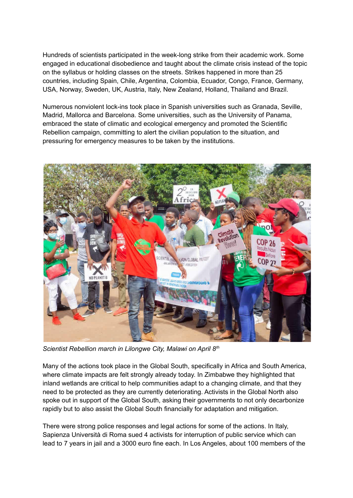Hundreds of scientists participated in the week-long strike from their academic work. Some engaged in educational disobedience and taught about the climate crisis instead of the topic on the syllabus or holding classes on the streets. Strikes happened in more than 25 countries, including Spain, Chile, Argentina, Colombia, Ecuador, Congo, France, Germany, USA, Norway, Sweden, UK, Austria, Italy, New Zealand, Holland, Thailand and Brazil.

Numerous nonviolent lock-ins took place in Spanish universities such as Granada, Seville, Madrid, Mallorca and Barcelona. Some universities, such as the University of Panama, embraced the state of climatic and ecological emergency and promoted the Scientific Rebellion campaign, committing to alert the civilian population to the situation, and pressuring for emergency measures to be taken by the institutions.



*Scientist Rebellion march in Lilongwe City, Malawi on April 8 th*

Many of the actions took place in the Global South, specifically in Africa and South America, where climate impacts are felt strongly already today. In Zimbabwe they highlighted that inland wetlands are critical to help communities adapt to a changing climate, and that they need to be protected as they are currently deteriorating. Activists in the Global North also spoke out in support of the Global South, asking their governments to not only decarbonize rapidly but to also assist the Global South financially for adaptation and mitigation.

There were strong police responses and legal actions for some of the actions. In Italy, Sapienza Università di Roma sued 4 activists for interruption of public service which can lead to 7 years in jail and a 3000 euro fine each. In Los Angeles, about 100 members of the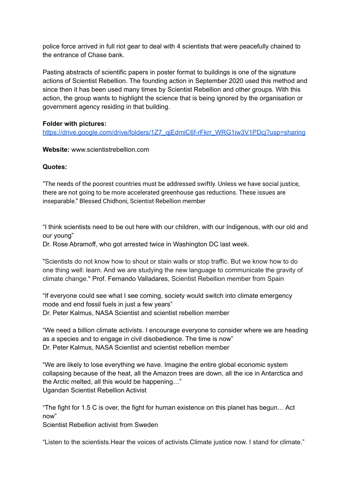police force arrived in full riot gear to deal with 4 scientists that were peacefully chained to the entrance of Chase bank.

Pasting abstracts of scientific papers in poster format to buildings is one of the signature actions of Scientist Rebellion. The founding action in September 2020 used this method and since then it has been used many times by Scientist Rebellion and other groups. With this action, the group wants to highlight the science that is being ignored by the organisation or government agency residing in that building.

### **Folder with pictures:**

https://drive.google.com/drive/folders/1Z7\_qiEdmiC6f-rFkrr\_WRG1iw3V1PDcj?usp=sharing

**Website:** www.scientistrebellion.com

#### **Quotes:**

"The needs of the poorest countries must be addressed swiftly. Unless we have social justice, there are not going to be more accelerated greenhouse gas reductions. These issues are inseparable." Blessed Chidhoni, Scientist Rebellion member

"I think scientists need to be out here with our children, with our Indigenous, with our old and our young"

Dr. Rose Abramoff, who got arrested twice in Washington DC last week.

"Scientists do not know how to shout or stain walls or stop traffic. But we know how to do one thing well: learn. And we are studying the new language to communicate the gravity of climate change." Prof. Fernando Valladares, Scientist Rebellion member from Spain

"If everyone could see what I see coming, society would switch into climate emergency mode and end fossil fuels in just a few years" Dr. Peter Kalmus, NASA Scientist and scientist rebellion member

"We need a billion climate activists. I encourage everyone to consider where we are heading as a species and to engage in civil disobedience. The time is now" Dr. Peter Kalmus, NASA Scientist and scientist rebellion member

"We are likely to lose everything we have. Imagine the entire global economic system collapsing because of the heat, all the Amazon trees are down, all the ice in Antarctica and the Arctic melted, all this would be happening…" Ugandan Scientist Rebellion Activist

"The fight for 1.5 C is over, the fight for human existence on this planet has begun… Act now"

Scientist Rebellion activist from Sweden

"Listen to the scientists.Hear the voices of activists.Climate justice now. I stand for climate."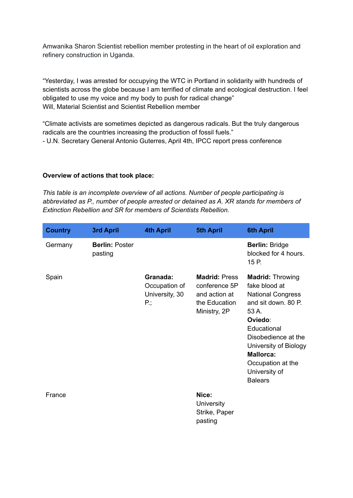Amwanika Sharon Scientist rebellion member protesting in the heart of oil exploration and refinery construction in Uganda.

"Yesterday, I was arrested for occupying the WTC in Portland in solidarity with hundreds of scientists across the globe because I am terrified of climate and ecological destruction. I feel obligated to use my voice and my body to push for radical change" Will, Material Scientist and Scientist Rebellion member

"Climate activists are sometimes depicted as dangerous radicals. But the truly dangerous radicals are the countries increasing the production of fossil fuels." - U.N. Secretary General Antonio Guterres, April 4th, IPCC report press conference

#### **Overview of actions that took place:**

*This table is an incomplete overview of all actions. Number of people participating is abbreviated as P., number of people arrested or detained as A. XR stands for members of Extinction Rebellion and SR for members of Scientists Rebellion.*

| <b>Country</b> | 3rd April                        | <b>4th April</b>                                   | <b>5th April</b>                                                                        | <b>6th April</b>                                                                                                                                                                                                                                           |
|----------------|----------------------------------|----------------------------------------------------|-----------------------------------------------------------------------------------------|------------------------------------------------------------------------------------------------------------------------------------------------------------------------------------------------------------------------------------------------------------|
| Germany        | <b>Berlin: Poster</b><br>pasting |                                                    |                                                                                         | <b>Berlin: Bridge</b><br>blocked for 4 hours.<br>15 P.                                                                                                                                                                                                     |
| Spain          |                                  | Granada:<br>Occupation of<br>University, 30<br>P., | <b>Madrid: Press</b><br>conference 5P<br>and action at<br>the Education<br>Ministry, 2P | <b>Madrid: Throwing</b><br>fake blood at<br><b>National Congress</b><br>and sit down, 80 P.<br>53 A.<br>Oviedo:<br>Educational<br>Disobedience at the<br>University of Biology<br><b>Mallorca:</b><br>Occupation at the<br>University of<br><b>Balears</b> |
| France         |                                  |                                                    | Nice:<br><b>University</b><br>Strike, Paper<br>pasting                                  |                                                                                                                                                                                                                                                            |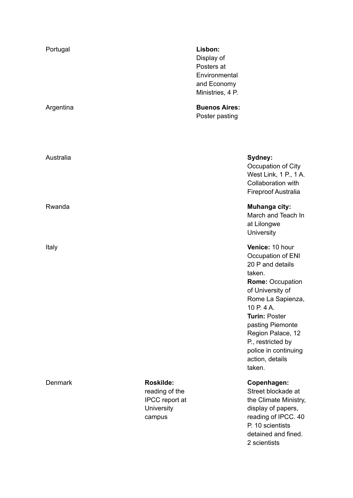| Portugal       |                                                                              | Lisbon:<br>Display of<br>Posters at<br>Environmental<br>and Economy<br>Ministries, 4 P. |                                                                                                                                                                                                                                                                                                 |
|----------------|------------------------------------------------------------------------------|-----------------------------------------------------------------------------------------|-------------------------------------------------------------------------------------------------------------------------------------------------------------------------------------------------------------------------------------------------------------------------------------------------|
| Argentina      |                                                                              | <b>Buenos Aires:</b><br>Poster pasting                                                  |                                                                                                                                                                                                                                                                                                 |
| Australia      |                                                                              |                                                                                         | Sydney:<br>Occupation of City<br>West Link, 1 P., 1 A.<br>Collaboration with<br><b>Fireproof Australia</b>                                                                                                                                                                                      |
| Rwanda         |                                                                              |                                                                                         | Muhanga city:<br>March and Teach In<br>at Lilongwe<br><b>University</b>                                                                                                                                                                                                                         |
| Italy          |                                                                              |                                                                                         | Venice: 10 hour<br>Occupation of ENI<br>20 P and details<br>taken.<br><b>Rome: Occupation</b><br>of University of<br>Rome La Sapienza,<br>10 P. 4 A.<br><b>Turin: Poster</b><br>pasting Piemonte<br>Region Palace, 12<br>P., restricted by<br>police in continuing<br>action, details<br>taken. |
| <b>Denmark</b> | <b>Roskilde:</b><br>reading of the<br>IPCC report at<br>University<br>campus |                                                                                         | Copenhagen:<br>Street blockade at<br>the Climate Ministry,<br>display of papers,<br>reading of IPCC. 40<br>P. 10 scientists                                                                                                                                                                     |

detained and fined.

2 scientists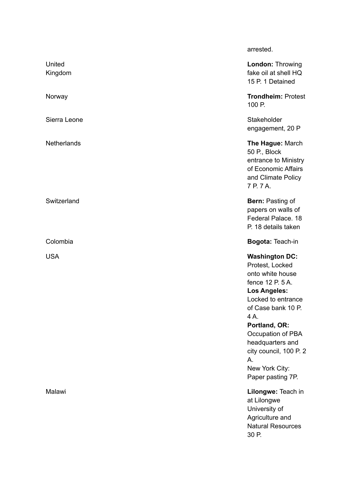|                   | arrested.                                                                                                                                                                                                                                                                                   |
|-------------------|---------------------------------------------------------------------------------------------------------------------------------------------------------------------------------------------------------------------------------------------------------------------------------------------|
| United<br>Kingdom | <b>London: Throwing</b><br>fake oil at shell HQ<br>15 P. 1 Detained                                                                                                                                                                                                                         |
| Norway            | <b>Trondheim: Protest</b><br>100 P.                                                                                                                                                                                                                                                         |
| Sierra Leone      | Stakeholder<br>engagement, 20 P                                                                                                                                                                                                                                                             |
| Netherlands       | The Hague: March<br>50 P., Block<br>entrance to Ministry<br>of Economic Affairs<br>and Climate Policy<br>7 P. 7 A.                                                                                                                                                                          |
| Switzerland       | <b>Bern: Pasting of</b><br>papers on walls of<br>Federal Palace. 18<br>P. 18 details taken                                                                                                                                                                                                  |
| Colombia          | Bogota: Teach-in                                                                                                                                                                                                                                                                            |
| <b>USA</b>        | <b>Washington DC:</b><br>Protest, Locked<br>onto white house<br>fence 12 P. 5 A.<br><b>Los Angeles:</b><br>Locked to entrance<br>of Case bank 10 P.<br>4A.<br>Portland, OR:<br>Occupation of PBA<br>headquarters and<br>city council, 100 P. 2<br>А.<br>New York City:<br>Paper pasting 7P. |
| Malawi            | Lilongwe: Teach in<br>at Lilongwe<br>University of<br>Agriculture and<br><b>Natural Resources</b><br>30 P.                                                                                                                                                                                  |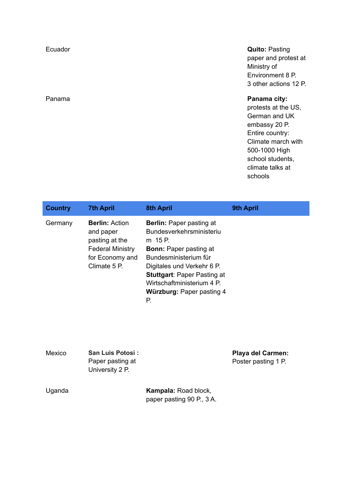## Ecuador **Quito:** Pasting paper and protest at Ministry of Environment 8 P. 3 other actions 12 P.

#### Panama **Panama city:**

protests at the US, German and UK embassy 20 P. Entire country: Climate march with 500-1000 High school students, climate talks at schools

| <b>Country</b> | <b>7th April</b>                                                                                                   | <b>8th April</b>                                                                                                                                                                                                                                                     | 9th April |
|----------------|--------------------------------------------------------------------------------------------------------------------|----------------------------------------------------------------------------------------------------------------------------------------------------------------------------------------------------------------------------------------------------------------------|-----------|
| Germany        | <b>Berlin: Action</b><br>and paper<br>pasting at the<br><b>Federal Ministry</b><br>for Economy and<br>Climate 5 P. | <b>Berlin:</b> Paper pasting at<br>Bundesverkehrsministeriu<br>m 15 P<br><b>Bonn: Paper pasting at</b><br>Bundesministerium für<br>Digitales und Verkehr 6 P.<br><b>Stuttgart: Paper Pasting at</b><br>Wirtschaftministerium 4 P.<br>Würzburg: Paper pasting 4<br>Р. |           |

| Mexico | <b>San Luis Potosí:</b>             | <b>Playa del Carmen:</b> |
|--------|-------------------------------------|--------------------------|
|        | Paper pasting at<br>University 2 P. | Poster pasting 1 P.      |
|        |                                     |                          |

| Uganda | <b>Kampala: Road block,</b> |  |
|--------|-----------------------------|--|
|        | paper pasting 90 P., 3 A.   |  |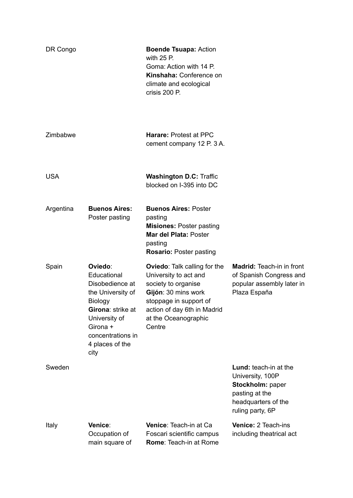| DR Congo   |                                                                                                                                                                             | <b>Boende Tsuapa: Action</b><br>with $25$ P.<br>Goma: Action with 14 P.<br>Kinshaha: Conference on<br>climate and ecological<br>crisis 200 P.                                                         |                                                                                                                            |
|------------|-----------------------------------------------------------------------------------------------------------------------------------------------------------------------------|-------------------------------------------------------------------------------------------------------------------------------------------------------------------------------------------------------|----------------------------------------------------------------------------------------------------------------------------|
| Zimbabwe   |                                                                                                                                                                             | <b>Harare: Protest at PPC</b><br>cement company 12 P. 3 A.                                                                                                                                            |                                                                                                                            |
| <b>USA</b> |                                                                                                                                                                             | <b>Washington D.C: Traffic</b><br>blocked on I-395 into DC                                                                                                                                            |                                                                                                                            |
| Argentina  | <b>Buenos Aires:</b><br>Poster pasting                                                                                                                                      | <b>Buenos Aires: Poster</b><br>pasting<br><b>Misiones: Poster pasting</b><br><b>Mar del Plata: Poster</b><br>pasting<br><b>Rosario: Poster pasting</b>                                                |                                                                                                                            |
| Spain      | Oviedo:<br>Educational<br>Disobedience at<br>the University of<br>Biology<br>Girona: strike at<br>University of<br>Girona +<br>concentrations in<br>4 places of the<br>city | <b>Oviedo:</b> Talk calling for the<br>University to act and<br>society to organise<br>Gijón: 30 mins work<br>stoppage in support of<br>action of day 6th in Madrid<br>at the Oceanographic<br>Centre | <b>Madrid:</b> Teach-in in front<br>of Spanish Congress and<br>popular assembly later in<br>Plaza España                   |
| Sweden     |                                                                                                                                                                             |                                                                                                                                                                                                       | Lund: teach-in at the<br>University, 100P<br>Stockholm: paper<br>pasting at the<br>headquarters of the<br>ruling party, 6P |
| Italy      | Venice:<br>Occupation of<br>main square of                                                                                                                                  | Venice: Teach-in at Ca<br>Foscari scientific campus<br><b>Rome: Teach-in at Rome</b>                                                                                                                  | Venice: 2 Teach-ins<br>including theatrical act                                                                            |